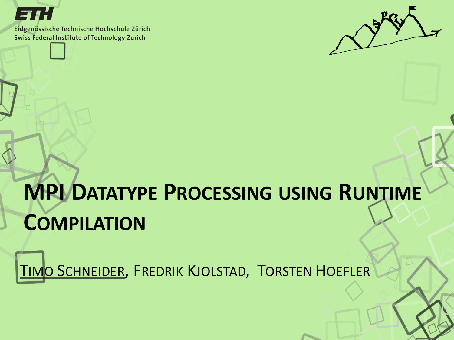

Eidgenössische Technische Hochschule Zürich Swiss Federal Institute of Technology Zurich



# **MPI DATATYPE PROCESSING USING RUNTIME COMPILATION**

TIMO SCHNEIDER, FREDRIK KJOLSTAD, TORSTEN HOEFLER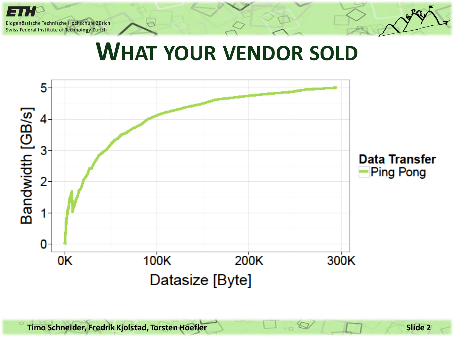#### **WHAT YOUR VENDOR SOLD**

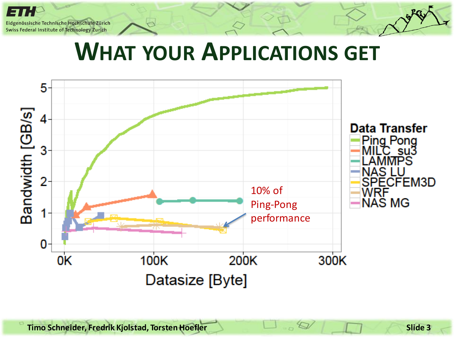#### **WHAT YOUR APPLICATIONS GET**

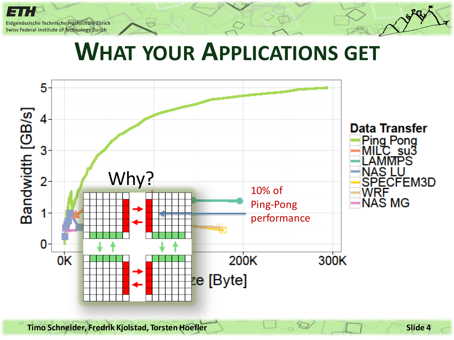#### **WHAT YOUR APPLICATIONS GET**

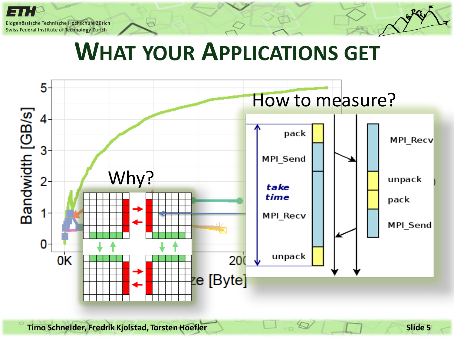#### **WHAT YOUR APPLICATIONS GET**



**Timo Schneider, Fredrik Kjolstad, Torsten Hoefler Slide 5**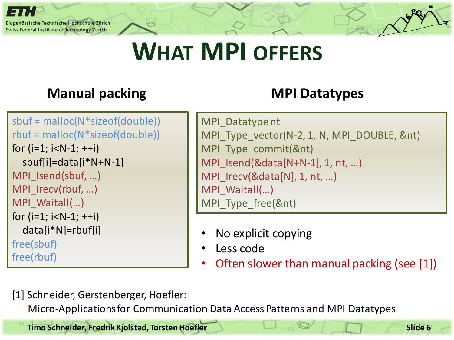

# **WHAT MPI OFFERS**

#### **Manual packing MPI Datatypes**

```
sbuf = malloc(N*sizeof(double))
rbuf = malloc(N*sizeof(double))
for (i=1; i < N-1; ++i) sbuf[i]=data[i*N+N-1]
MPI_Isend(sbuf, …)
MPI Irecv(rbuf, ...)
MPI_Waitall(…)
for (i=1; i < N-1; ++i) data[i*N]=rbuf[i]
free(sbuf)
free(rbuf)
```

```
MPI_Datatypent
MPI_Type_vector(N-2, 1, N, MPI_DOUBLE, &nt)
MPI Type commit(&nt)
MPI Isend(&data[N+N-1], 1, nt, ...)
MPI_Irecv(&data[N], 1, nt, ...)
MPI_Waitall(…)
MPI Type free(&nt)
```
- No explicit copying
- Less code
- Often slower than manual packing (see [1])

[1] Schneider, Gerstenberger, Hoefler:

Micro-Applications for Communication Data Access Patterns and MPI Datatypes

**Timo Schneider, Fredrik Kjolstad, Torsten Hoefler Slide 6 Slide 6 Slide 6**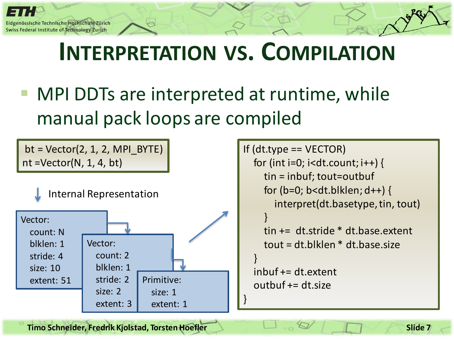MPI DDTs are interpreted at runtime, while manual pack loops are compiled

 $bt = Vector(2, 1, 2, MPIBYTE)$ nt =Vector(N, 1, 4, bt)



If  $(dt.type == VECTOR)$ for (int i=0; i<dt.count;  $i++$ ) { tin = inbuf; tout=outbuf for ( $b=0$ ;  $b$ <dt.blklen;  $d++$ ) { interpret(dt.basetype, tin, tout) } tin += dt.stride \* dt.base.extent tout = dt.blklen \* dt.base.size } inbuf += dt.extent  $outbuf += dt.size$ }

**Timo Schneider, Fredrik Kjolstad, Torsten Hoefler Slide 7 Slide 7 Slide 7**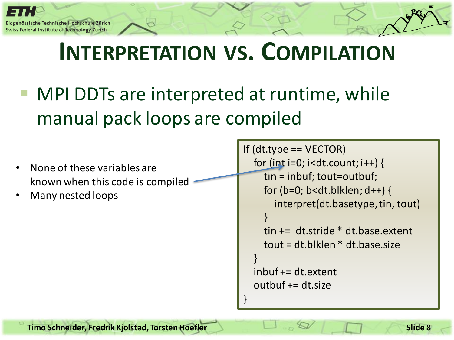}

 MPI DDTs are interpreted at runtime, while manual pack loops are compiled

```
• None of these variables are 
known when this code is compiled
```
• Many nested loops

```
If (dt.type == VECTOR)for (int i=0; i<dt.count; i++) {
     tin = inbuf; tout=outbuf;
    for (b=0; b<dt.blklen; d++) {
        interpret(dt.basetype, tin, tout)
 }
     tin += dt.stride * dt.base.extent
     tout = dt.blklen * dt.base.size
 }
   inbuf += dt.extent
   outbuf += dt.size
```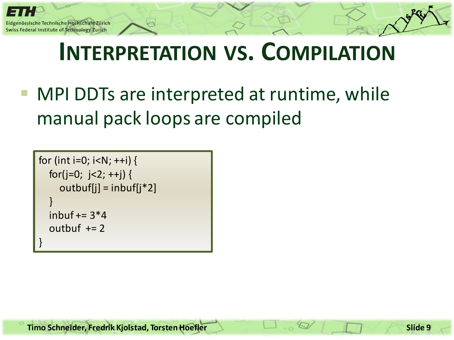```
for (int i=0; i < N; +i) {
  for(j=0; j < 2; ++j) {
     outbuf[j] = inbuf[j*2] }
  inbuf += 3*4outbuf += 2}
```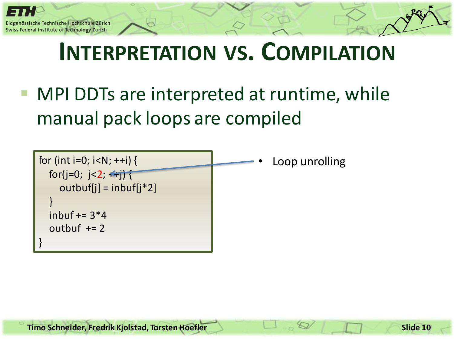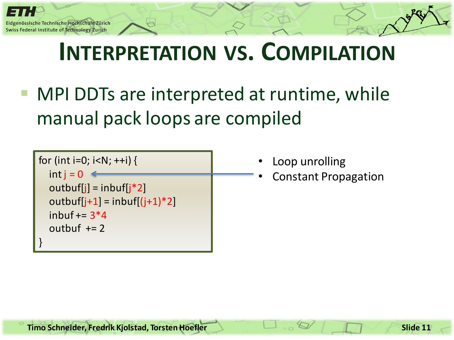| for (int i=0; i <n; ++i)="" th="" {<=""><th></th></n;> |  |
|--------------------------------------------------------|--|
| $int i = 0$                                            |  |
| $outbuf[i] = inbuf[i*2]$                               |  |
| outbuf[j+1] = inbuf[(j+1)*2]                           |  |
| inbuf $+=$ 3*4                                         |  |
| outbuf $+= 2$                                          |  |
|                                                        |  |

- Loop unrolling
- Constant Propagation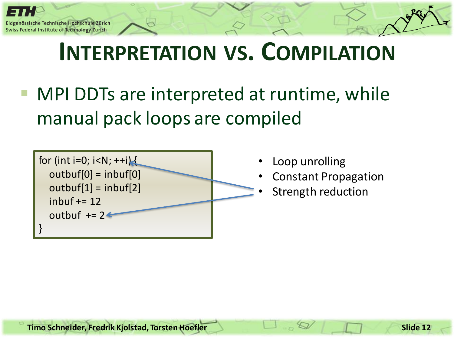

- Loop unrolling
- Constant Propagation
- Strength reduction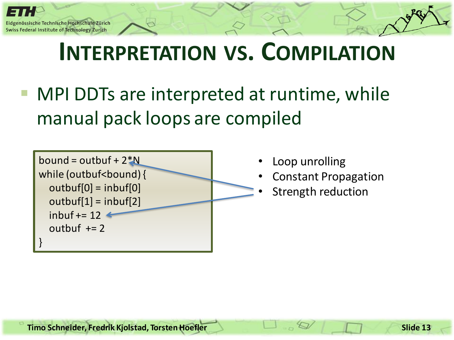

- Loop unrolling
- Constant Propagation
- Strength reduction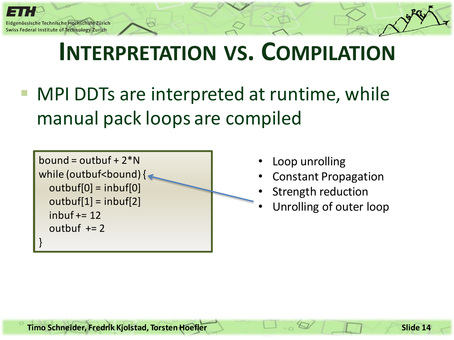```
bound = outbuf +2*Nwhile (outbuf<br/>shound) {
   outbuf[0] = inbuf[0]
  outbuf[1] = inbuf[2]inbuf += 12outbuf += 2}
```
- Loop unrolling
- Constant Propagation
- Strength reduction
- Unrolling of outer loop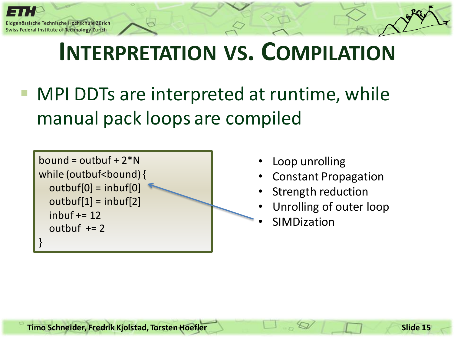```
bound = outbuf +2*Nwhile (outbuf<br/>bound) {
   outbuf[0] = inbuf[0]
  outbuf[1] = inbuf[2]inbuf += 12outbuf += 2}
```
- Loop unrolling
- Constant Propagation
- Strength reduction
- Unrolling of outer loop
- **SIMDization**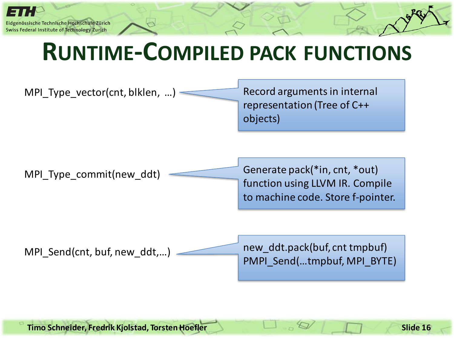

## **RUNTIME-COMPILED PACK FUNCTIONS**



**Timo Schneider, Fredrik Kjolstad, Torsten Hoefler Slide 16**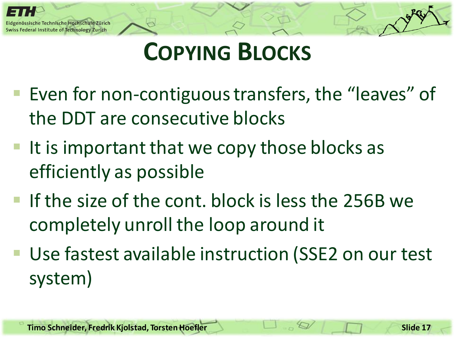

# **COPYING BLOCKS**

- Even for non-contiguous transfers, the "leaves" of the DDT are consecutive blocks
- If is important that we copy those blocks as efficiently as possible
- If the size of the cont. block is less the 256B we completely unroll the loop around it
- Use fastest available instruction (SSE2 on our test system)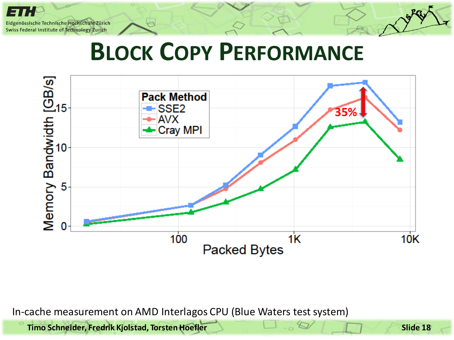## **BLOCK COPY PERFORMANCE**



In-cache measurement on AMD Interlagos CPU (Blue Waters test system)

**Timo Schneider, Fredrik Kjolstad, Torsten Hoefler Slide 18**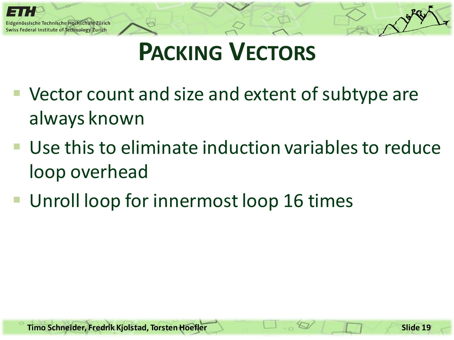

# **PACKING VECTORS**

- Vector count and size and extent of subtype are always known
- Use this to eliminate induction variables to reduce loop overhead
- **Unroll loop for innermost loop 16 times**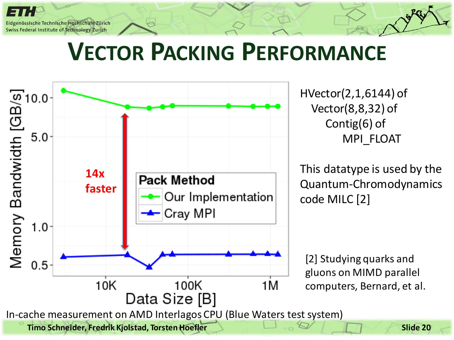## **VECTOR PACKING PERFORMANCE**

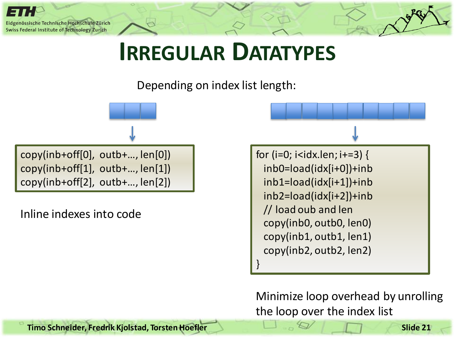

#### **IRREGULAR DATATYPES**

Depending on index list length:

copy(inb+off[0], outb+…, len[0]) copy(inb+off[1], outb+…, len[1]) copy(inb+off[2], outb+…, len[2])

Inline indexes into code

for (i=0; i<idx.len; i+=3) { inb0=load(idx[i+0])+inb inb1=load(idx[i+1])+inb inb2=load(idx[i+2])+inb // load oub and len copy(inb0, outb0, len0) copy(inb1, outb1, len1) copy(inb2, outb2, len2) }

Minimize loop overhead by unrolling the loop over the index list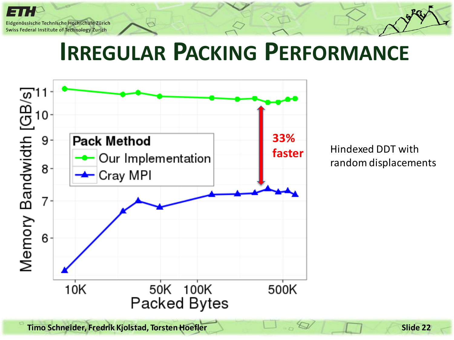

#### **IRREGULAR PACKING PERFORMANCE**



Hindexed DDT with random displacements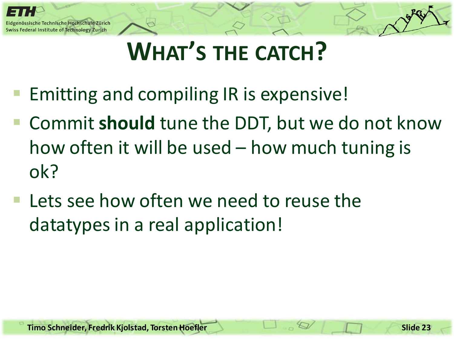

# **WHAT'S THE CATCH?**

- Emitting and compiling IR is expensive!
- Commit **should** tune the DDT, but we do not know how often it will be used – how much tuning is ok?
- Lets see how often we need to reuse the datatypes in a real application!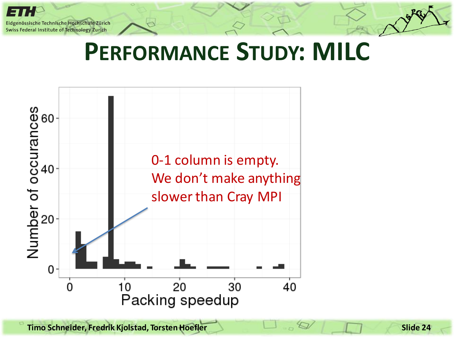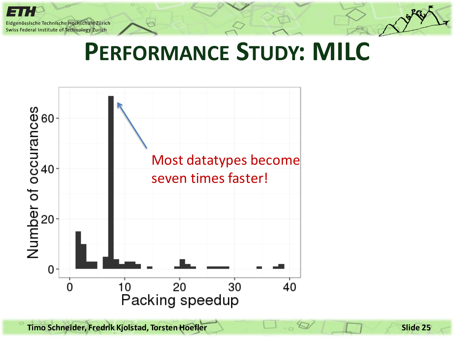

**Timo Schneider, Fredrik Kjolstad, Torsten Hoefler Slide 25**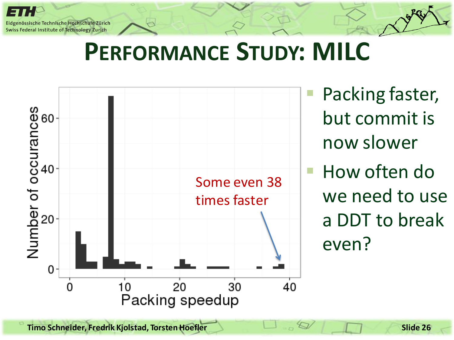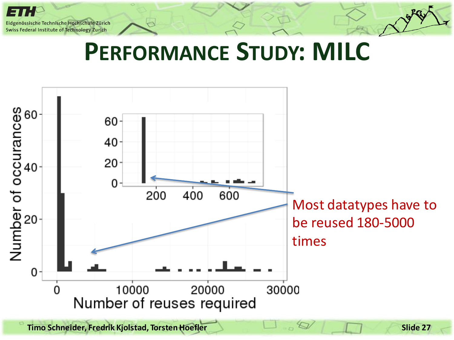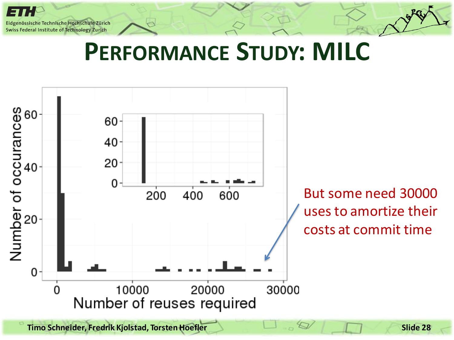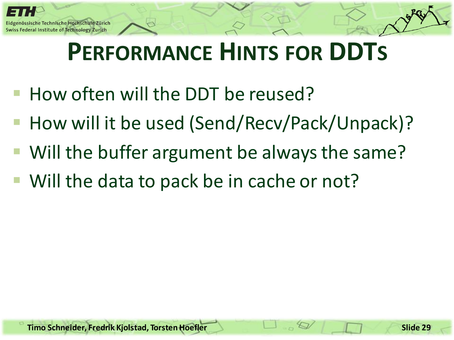# **PERFORMANCE HINTS FOR DDTS**

- How often will the DDT be reused?
- How will it be used (Send/Recv/Pack/Unpack)?
- Will the buffer argument be always the same?
- Will the data to pack be in cache or not?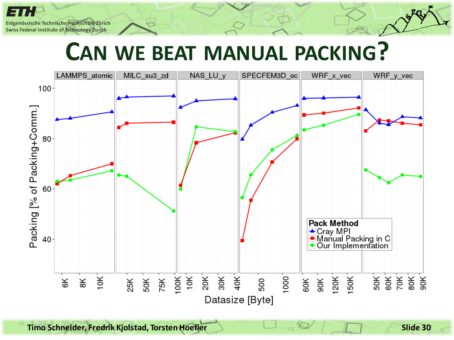#### **CAN WE BEAT MANUAL PACKING?**



**Timo Schneider, Fredrik Kjolstad, Torsten Hoefler Slide 30**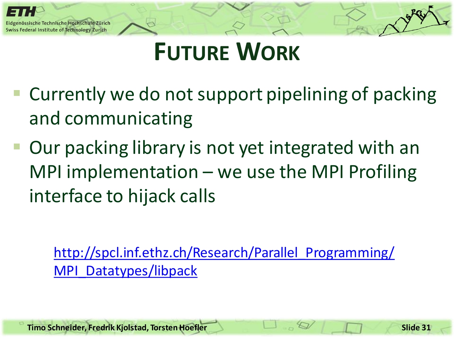

# **FUTURE WORK**

- Currently we do not support pipelining of packing and communicating
- Our packing library is not yet integrated with an MPI implementation – we use the MPI Profiling interface to hijack calls

[http://spcl.inf.ethz.ch/Research/Parallel\\_Programming/](http://spcl.inf.ethz.ch/Research/Parallel_Programming/) [MPI\\_Datatypes/libpack](http://spcl.inf.ethz.ch/Research/Parallel_Programming/)